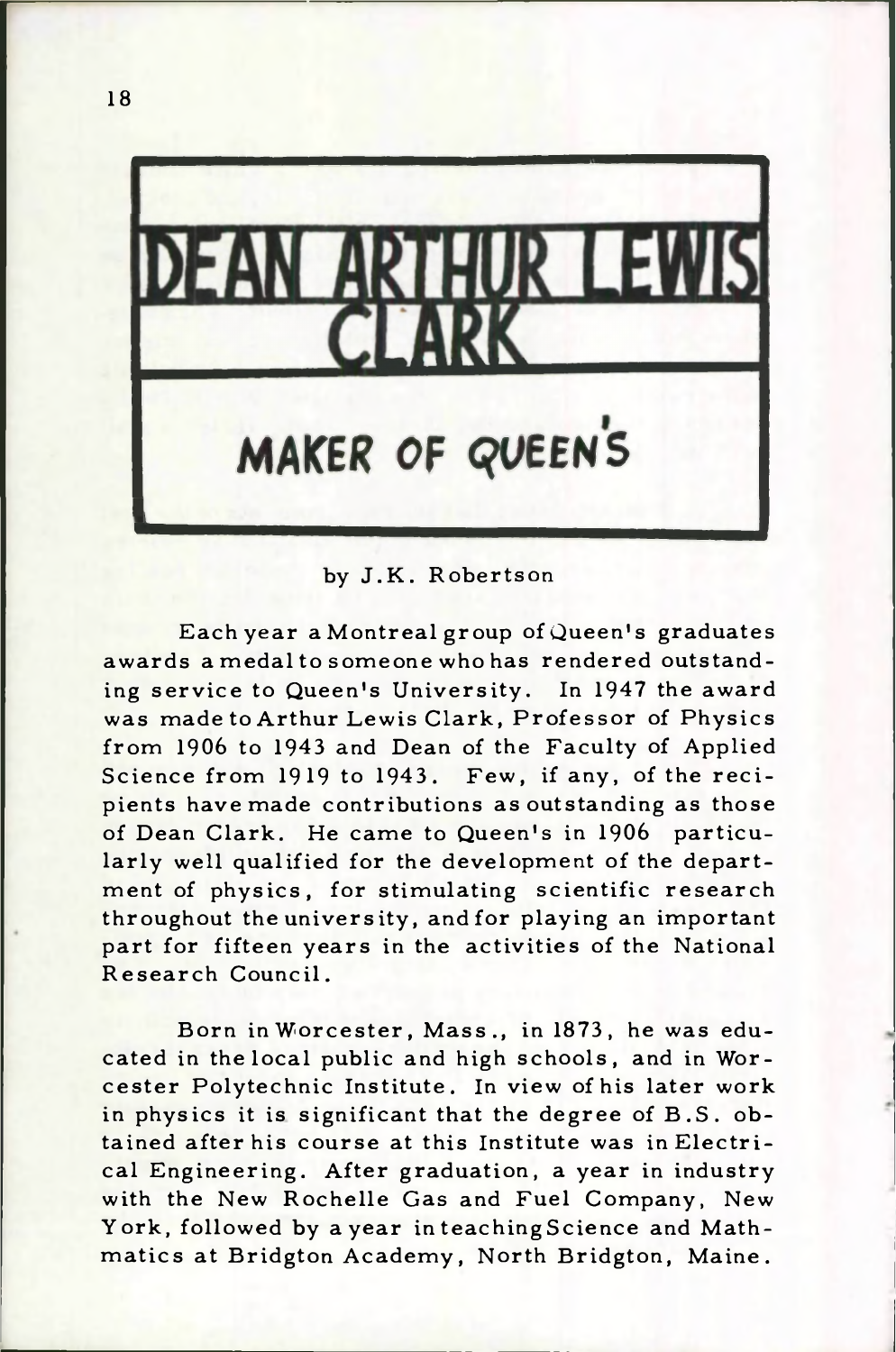

by J.K. Robertson

Each year a Montreal group of Queen's graduates awards a medal to some one who has rendered outstanding service to Queen's University. In 1947 the award was made to Arthur Lewis Clark, Professor of Physics from 1906 to 1943 and Dean of the Faculty of Applied Science from 1919 to 1943. Few, if any, of the recipients have made contributions as outstanding as those of Dean Clark. He came to Queen's in 1906 particularly well qualified for the development of the department of physics, for stimulating scientific research throughout the univers ity, and for playing an important part for fifteen years in the activities of the National Research Council.

Born in Worcester, Mass., in 1873, he was educated in the local public and high schools, and in Worcester Polytechnic Institute. In view of his later work in physics it is significant that the degree of  $B.S.$  obtained after his course at this Institute was in Electrical Engineering. After graduation, a year in industry with the New Rochelle Gas and Fuel Company, New York, followed by a year in teaching Science and Mathmatics at Bridgton Academy, North Bridgton, Maine.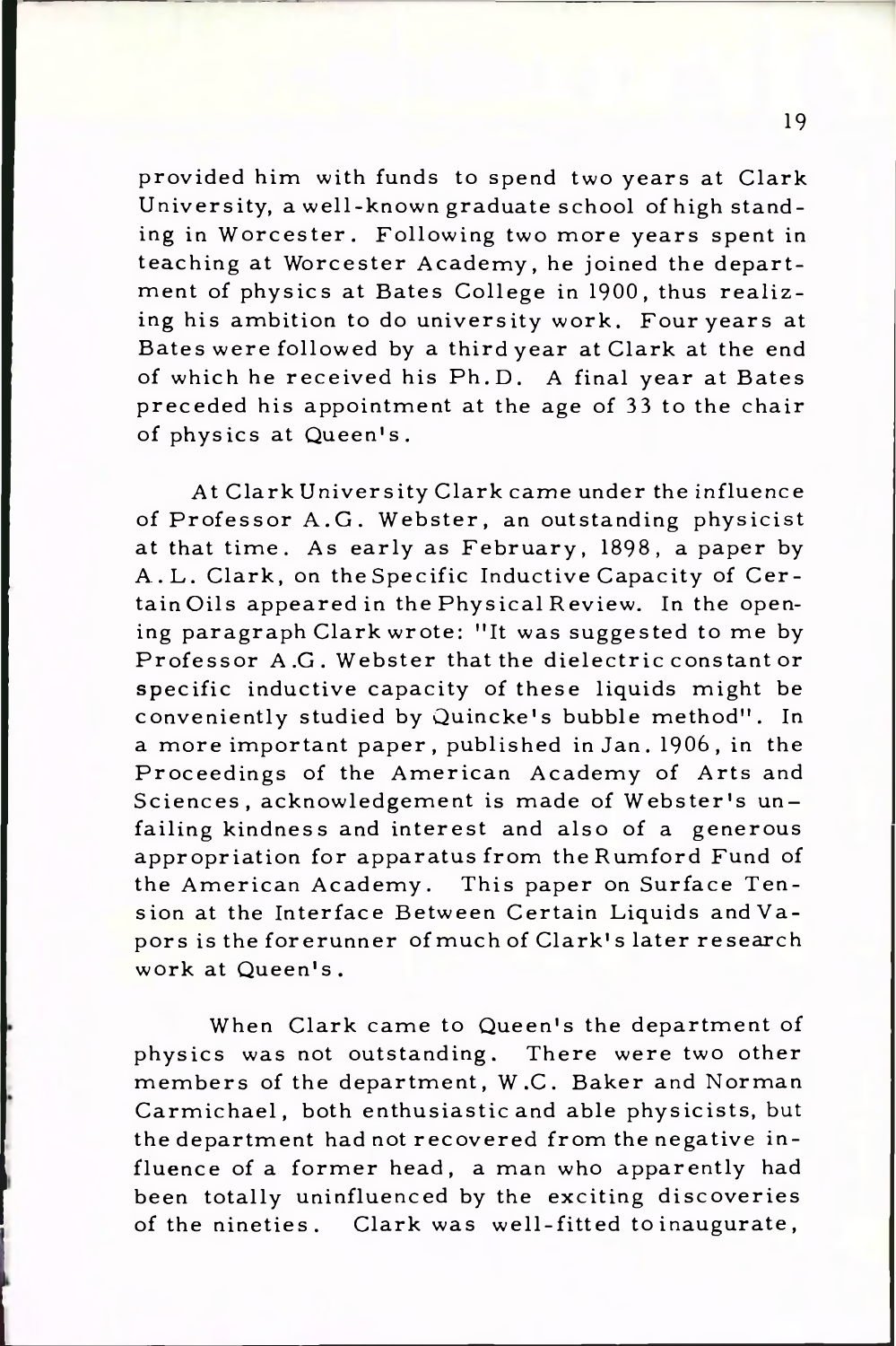provided him with funds to spend two years at Clark University, a well-known graduate school of high standing in W orcester. Following two more years spent in teaching at Worcester Academy, he joined the department of physics at Bates College in 1900, thus realizing his ambition to do university work. Four years at Bates were followed by a third year at Clark at the end of which he received his Ph.D. A final year at Bates preceded his appointment at the age of 33 to the chair of physics at Queen's.

At Clark University Clark came under the influence of Professor A.G. Webster, an outstanding physicist at that time. As early as February, 1898, a paper by A. L. Clark, on the Specific Inductive Capacity of Certain Oils appeared in the Physical Review. In the opening paragraph Clark wrote: "It was suggested to me by Professor A.G. Webster that the dielectric constant or specific inductive capacity of these liquids might be conveniently studied by Quincke's bubble method". In a more important paper, published in Jan. 1906, in the Proceedings of the American Academy of Arts and Sciences, acknowledgement is made of Webster's unfailing kindness and interest and also of a generous appropriation for apparatus from theRumford Fund of the American Academy. This paper on Surface Tension at the Interface Between Certain Liquids and Vapors is the forerunner of much of Clark's later research work at Queen's .

When Clark came to Queen's the department of physics was not outstanding. There were two other members of the department, W.C. Baker and Norman Carmichael, both enthusiastic and able physicists, but the department had not recovered from the negative influence of a former head, a man who apparently had been totally uninfluenced by the exciting discoveries of the nineties. Clark was well-fitted to inaugurate,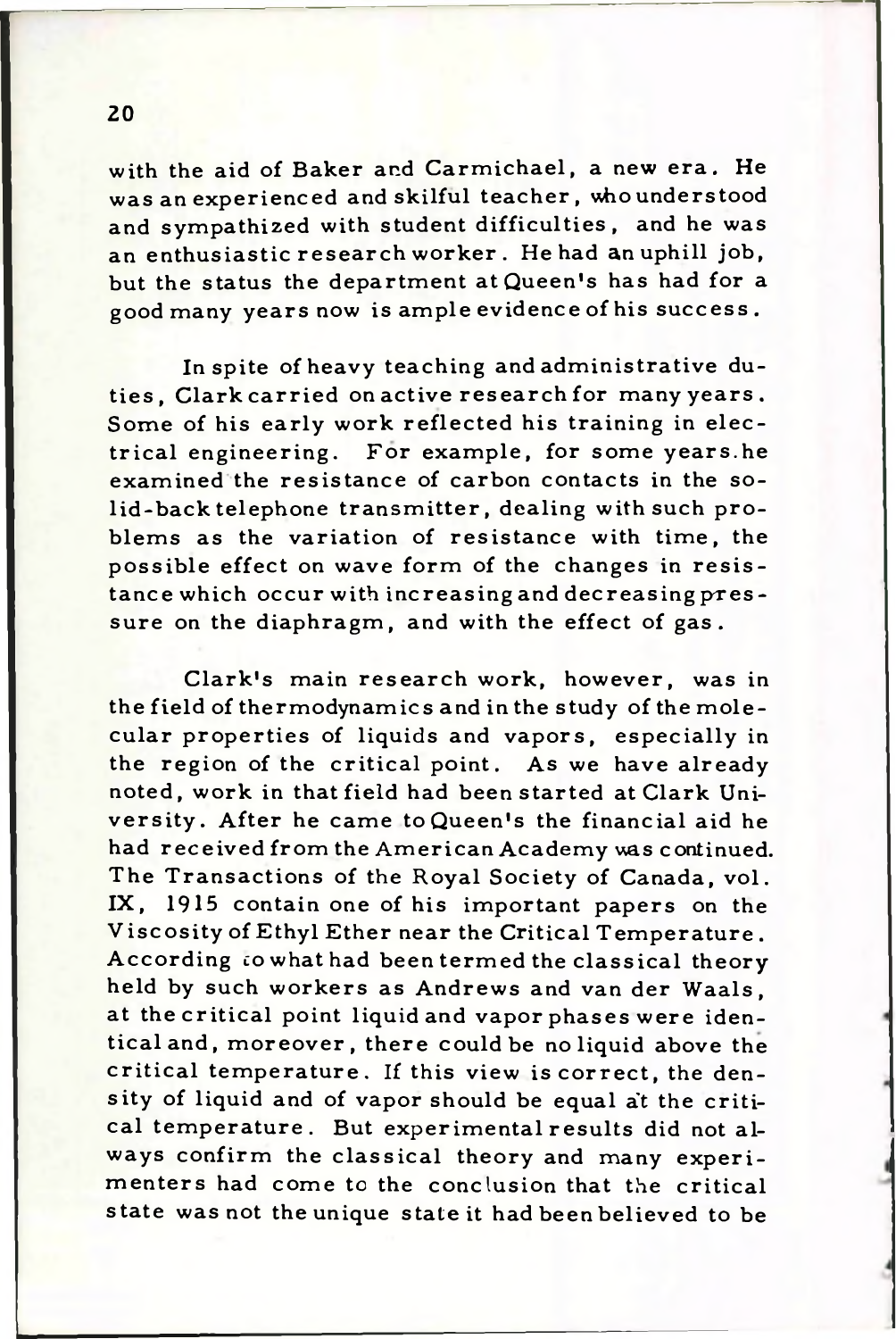with the aid of Baker and Carmichael, a new era. He was an experienced and skilful teacher, who understood and sympathized with student difficulties, and he was an enthusiastic research worker. He had an uphill job, but the status the department at Queen's has had for a good many years now is ample evidence of his success.

In spite of heavy teaching and administrative duties. Clark carried on active research for many years. Some of his early work reflected his training in electrical engineering. For example, for some years.he examined the resistance of carbon contacts in the solid-back telephone transmitter, dealing with such problems as the variation of resistance with time, the possible effect on wave form of the changes in resistance which occur with increasing and decreasing pressure on the diaphragm, and with the effect of gas.

Clark's main research work, however, was in the field of thermodynamics and in the study of the molecular properties of liquids and vapors, especially in the region of the critical point. As we have already noted, work in that field had been started at Clark University. After he came to Queen's the financial aid he had received from the American Academy was continued. The Transactions of the Royal Society of Canada, vol. IX, 1915 contain one of his important papers on the Viscosity of Ethyl Ether near the Critical Temperature. According *co* what had been termed the classical theory held by such workers as Andrews and van der Waals, at the critical point liquid and vapor phases were identical and, moreover, there could be no liquid above the critical temperature. If this view is correct, the density of liquid and of vapor should be equal at the critical temperature. But experimental results did not always confirm the classical theory and many experimenters had come to the conclusion that the critical state was not the unique state it had been believed to be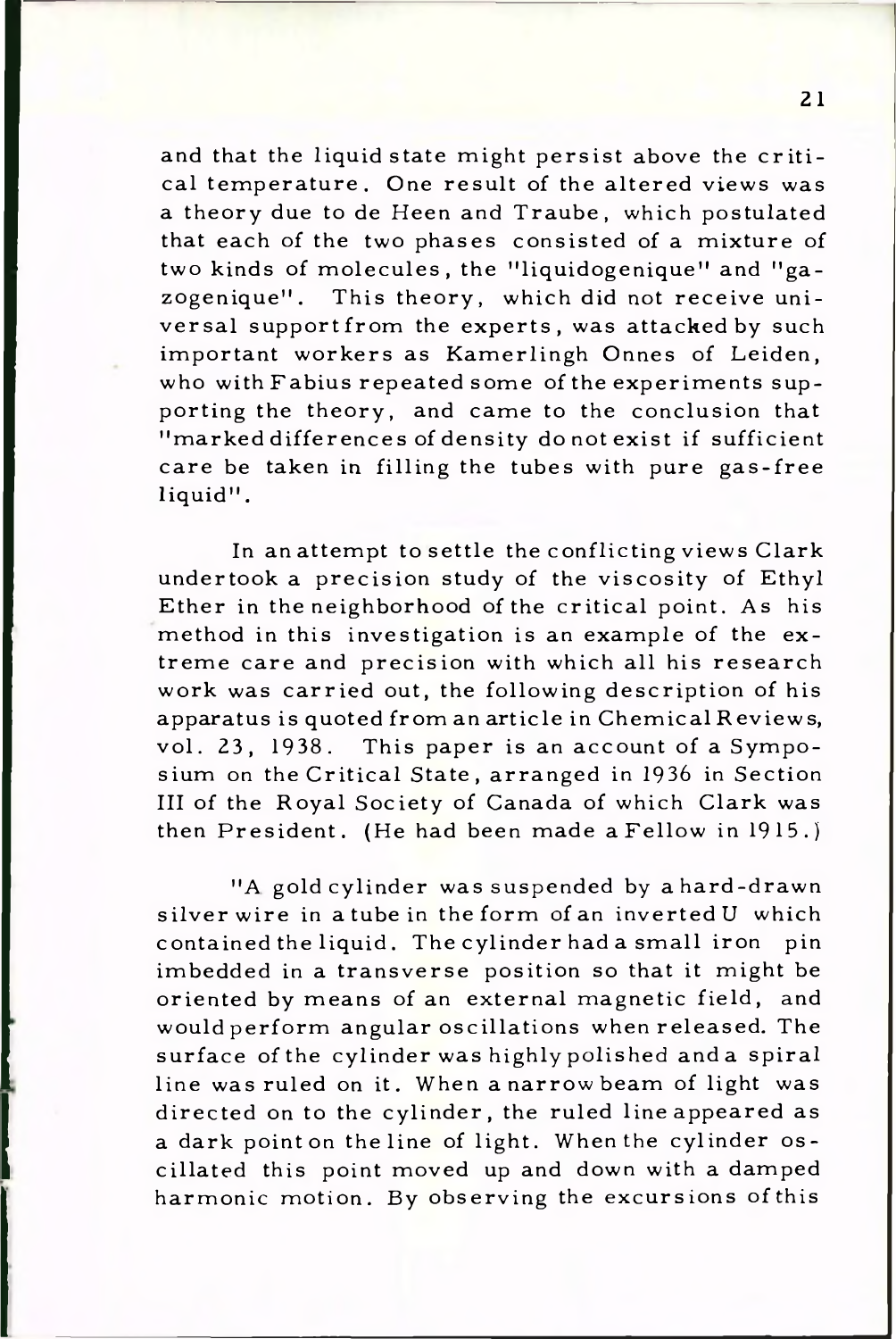and that the liquid state might persist above the critical temperature. One result of the altered views was a theory due to de Heen and Traube, which postulated that each of the two phases consisted of a mixture of two kinds of molecules, the "liquidogenique" and "gazogenique". This theory, which did not receive universal supportfrom the experts, was attacked by such important workers as Kamerlingh Onnes of Leiden, who with Fabius repeated some of the experiments supporting the theory, and came to the conclusion that "marked differences of density do not exist if sufficient care be taken in filling the tubes with pure gas-free liquid".

In anattempt to settle the conflicting views Clark undertook a precision study of the viscosity of Ethyl Ether in the neighborhood of the critical point. As his method in this investigation is an example of the  $ex$ treme care and precision with which all his research work was carried out, the following description of his apparatus is quoted from an article in Chemical Reviews, vol. 23, 1938. This paper is an account of a Symposium on the Critical State, arranged in 1936 in Section III of the Royal Society of Canada of which Clark was then President. (He had been made a Fellow in 1915.)

"A gold cylinder was suspended by a hard-drawn silver wire in a tube in the form of an inverted U which contained the liquid. The cylinder had a small iron pin imbedded in a transverse position so that it might be oriented by means of an external magnetic field, and wouldperform angular oscillations when released. The surface of the cylinder was highly polished and a spiral line was ruled on it. When a narrow beam of light was directed on to the cylinder, the ruled line appeared as a dark point on the line of light. When the cylinder oscillated this point moved up and down with a damped harmonic motion. By observing the excursions ofthis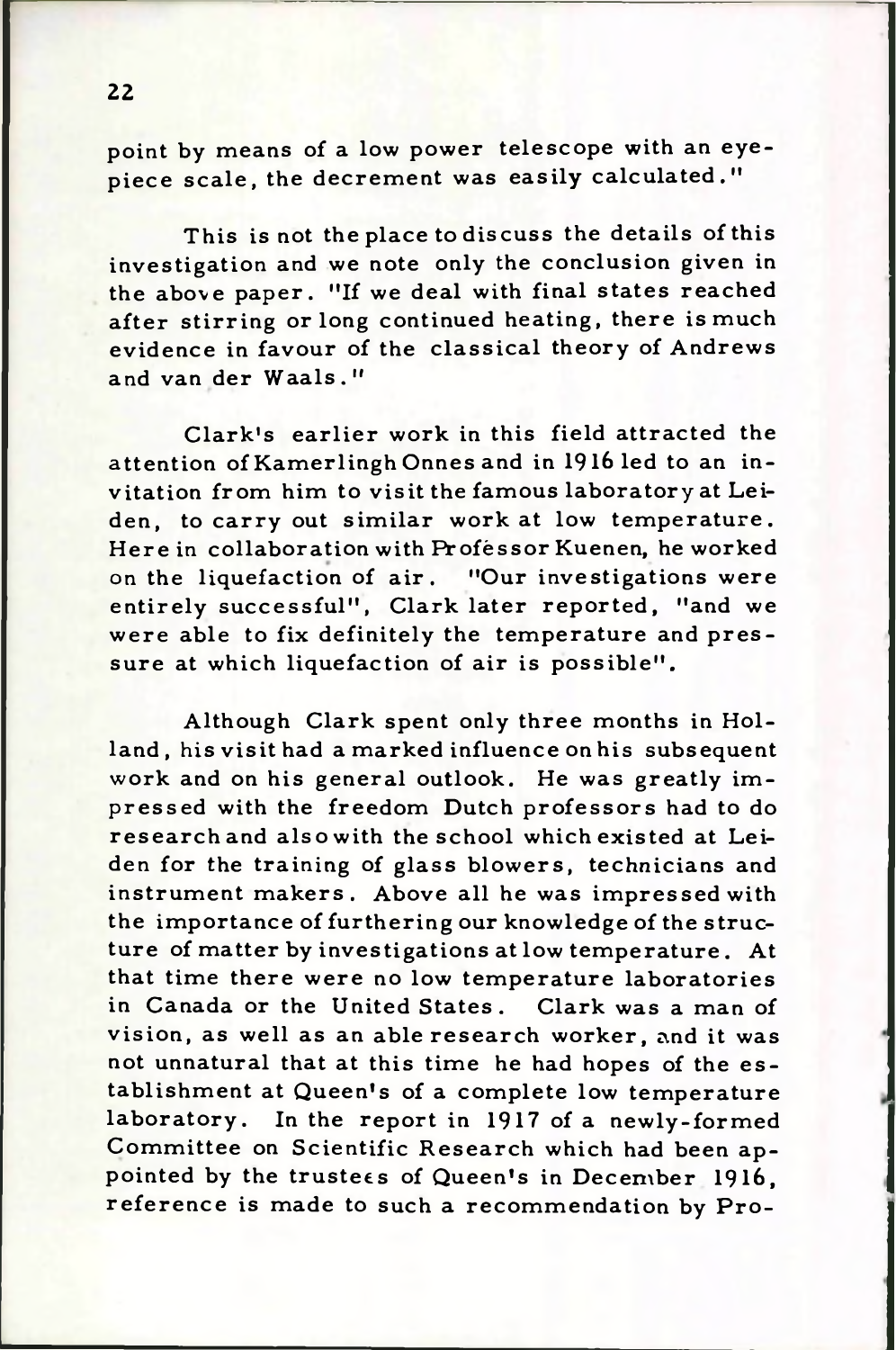point by means of a low power telescope with an eyepiece scale, the decrement was easily calculated."

This is not the place to discuss the details of this investigation and we note only the conclusion given in the above paper. "If we deal with final states reached after stirring or long continued heating, there is much evidence in favour of the classical theory of Andrews and van der Waals."

Clark's earlier work in this field attracted the attention of Kamerlingh Onnes and in 1916 led to an invitation from him to visit the famous laboratory at Leiden, to carry out similar work at low temperature. Here in collaboration with Professor Kuenen, he worked on the liquefaction of air. "Our investigations were entirely successful", Clark later reported, "and we were able to fix definitely the temperature and pressure at which liquefaction of air is possible".

Although Clark spent only three months in Holland, his visit had a marked influence on his subsequent work and on his general outlook. He was greatly im pressed with the freedom Dutch professors had to do research and also with the school which existed at Leiden for the training of glass blowers, technicians and instrument makers. Above all he was impressed with the importance of furthering our knowledge of the structure of matter by investigations at low temperature. At that time there were no low temperature laboratories in Canada or the United States. Clark was a man of vision, as well as an able research worker, and it was not unnatural that at this time he had hopes of the establishment at Queen's of a complete low temperature laboratory. In the report in 1917 of a newly-formed Committee on Scientific Research which had been appointed by the trustees of Queen's in December 1916, reference is made to such a recommendation by Pro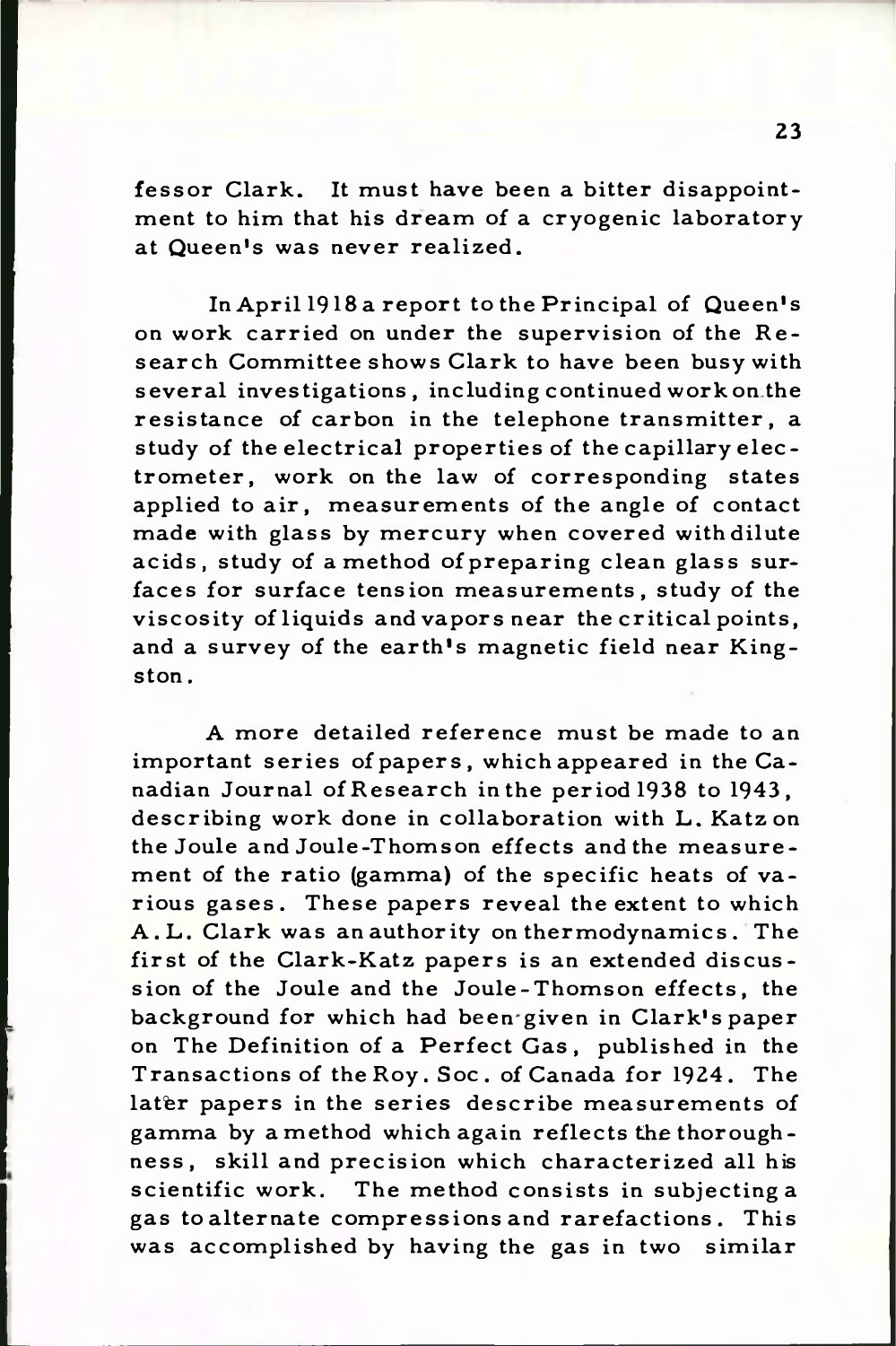fessor Clark. It must have been a bitter disappointment to him that his dream of a cryogenic laboratory at Queen's was never realized.

In April 1918 a report to the Principal of Queen's on work carried on under the supervision of the Research Committee shows Clark to have been busy with several investigations, including continued work on the resistance of carbon in the telephone transmitter, a study of the electrical properties of the capillary electrom eter, work on the law of corresponding states applied to air, measurements of the angle of contact made with glass by mercury when covered with dilute acids, study of a method of preparing clean glass surfaces for surface tension measurements, study of the viscosity of liquids and vapors near the critical points, and a survey of the earth's magnetic field near Kingston .

A more detailed reference must be made to an important series of papers, which appeared in the Canadian Journal of Research in the period 1938 to 1943, describing work done in collaboration with L. Katz on the Joule and Joule-Thomson effects and the measurement of the ratio (gamma) of the specific heats of va rious gases. These papers reveal the extent to which A. L. Clark was an authority on thermodynamics. The first of the Clark-Katz papers is an extended discussion of the Joule and the Joule-Thomson effects, the background for which had been given in Clark's paper on The Definition of a Perfect Gas, published in the Transactions of the Roy. Soc. of Canada for 1924. The later papers in the series describe measurements of gamma by amethod which again reflects the thoroughness, skill and precision which characterized all his scientific work. The method consists in subjecting a gas to alternate compressions and rarefactions. This was accomplished by having the gas in two similar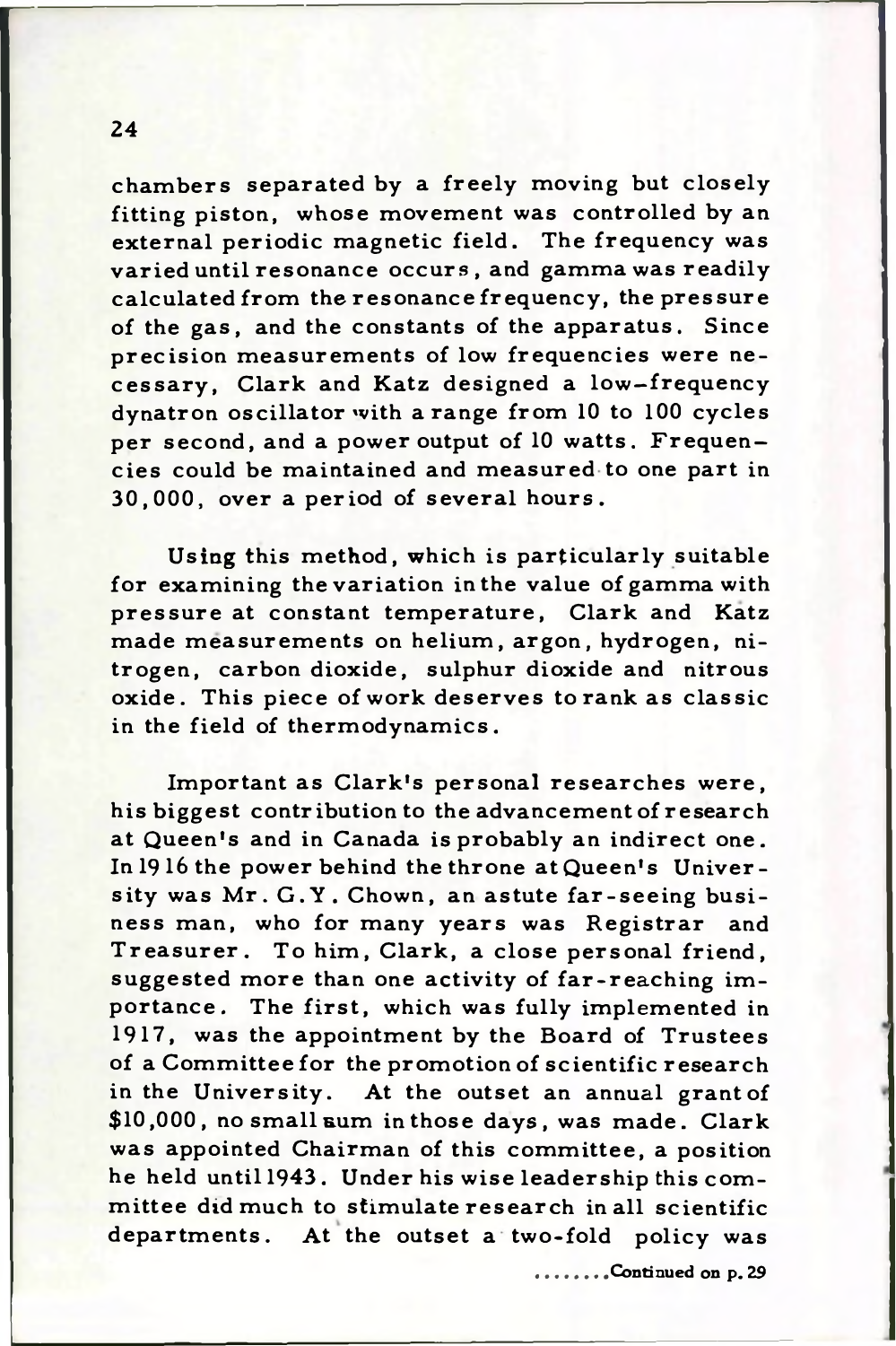chambers separated by a freely moving but closely fitting piston, whose movement was controlled by an external periodic magnetic field. The frequency was varied until resonance occurs, and gamma was readily calculated from the resonance frequency, the pressure of the gas, and the constants of the apparatus. Since precision measurements of low frequencies were necessary, Clark and Katz designed a low-frequency dynatron oscillator with a range from 10 to 100 cycles per second, and a power output of 10 watts. Frequencies could be maintained and measured to one part in 30,000, over a period of several hours.

Using this method, which is particularly suitable for examining the variation in the value of gamma with pressure at constant temperature, Clark and Katz made measurements on helium, argon, hydrogen, nitrogen, carbon dioxide, sulphur dioxide and nitrous oxide. This piece of work deserves to rank as classic in the field of thermodynamics.

Important as Clark's personal researches were, his biggest contribution to the advancement of research at Queen's and in Canada is probably an indirect one. In 1916 the power behind the throne at Queen's University was Mr. G.Y. Chown, an astute far-seeing business man, who for many years was Registrar and Treasurer. To him, Clark, a close personal friend, suggested more than one activity of far-reaching importance. The first, which was fully implemented in 1917, was the appointment by the Board of Trustees of a Committee for the promotion of scientific research in the University. At the outset an annual grantof \$10,000, no small sum in those days, was made. Clark was appointed Chairman of this committee, a position he held until 1943. Under his wise leadership this committee did much to stimulate research in all scientific departments. At the outset a two-fold policy was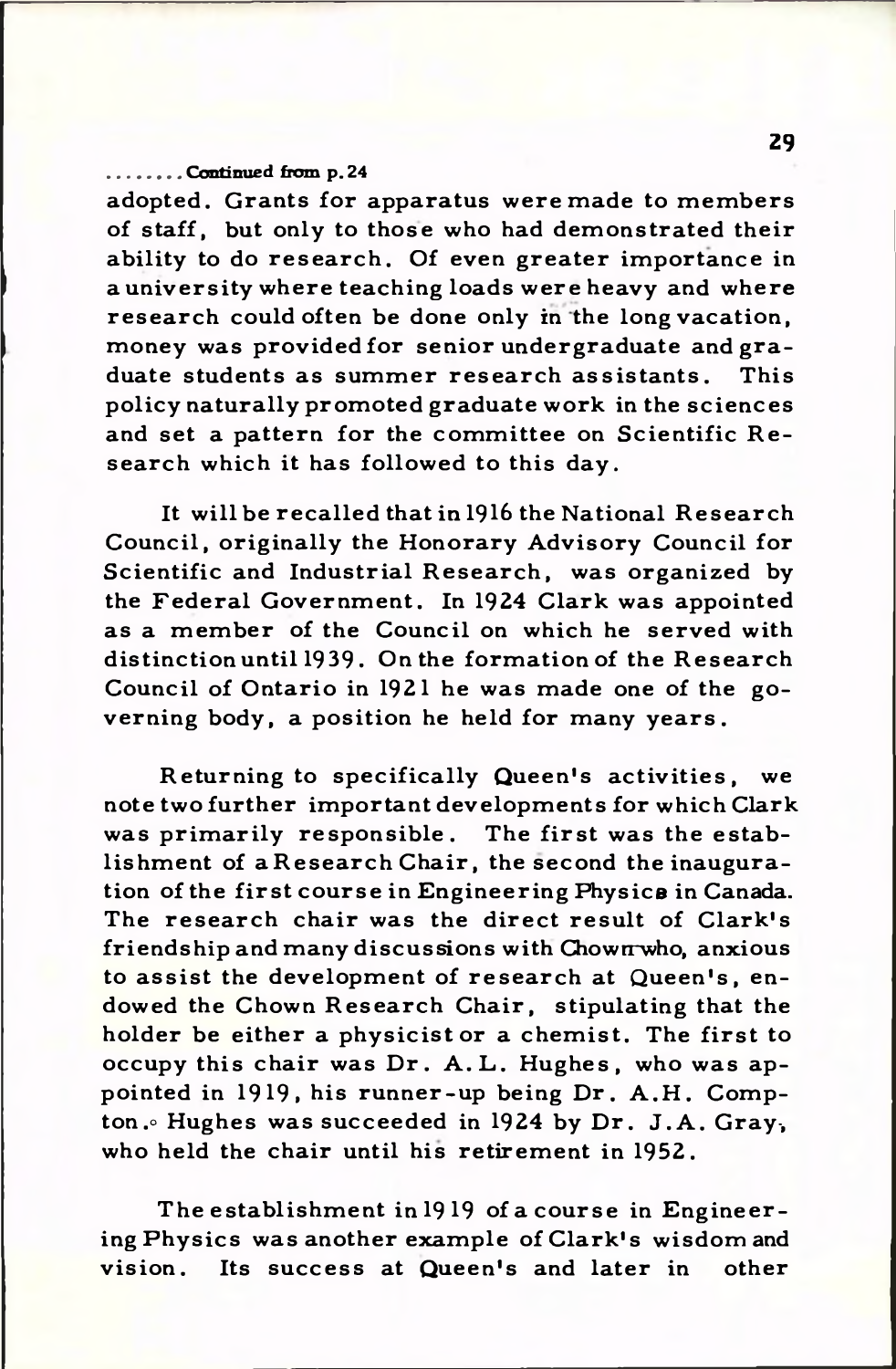## **................. Conti mie d from p . 24**

adopted. Grants for apparatus were made to members of staff, but only to those who had demonstrated their ability to do research. Of even greater importance in a university where teaching loads were heavy and where research could often be done only in the long vacation, money was provided for senior undergraduate and graduate students as summer research assistants. This policy naturally promoted graduate work in the sciences and set a pattern for the committee on Scientific Research which it has followed to this day.

It will be recalled that in 1916 the National Research Council, originally the Honorary Advisory Council for Scientific and Industrial Research, was organized by the Federal Government. In 1924 Clark was appointed as a member of the Council on which he served with distinction until 1939. On the formation of the Research Council of Ontario in 1921 he was made one of the governing body, a position he held for many years.

Returning to specifically Queen's activities, we note two further important developments for which Clark was primarily responsible. The first was the establishment of a Research Chair, the second the inauguration of the first course in Engineering Physics in Canada. The research chair was the direct result of Clark's friendship and many discussions with Chown who, anxious to assist the development of research at Queen's, endowed the Chown Research Chair, stipulating that the holder be either a physicist or a chemist. The first to occupy this chair was Dr. A.L. Hughes, who was appointed in 1919, his runner-up being Dr. A.H. Compton. Hughes was succeeded in 1924 by Dr. J.A. Gray, who held the chair until his retirement in 1952.

**The establishment in 19 19 of a course in Engineering Physics was another example of Clark's wisdom and vision. Its success at Queen's and later in other**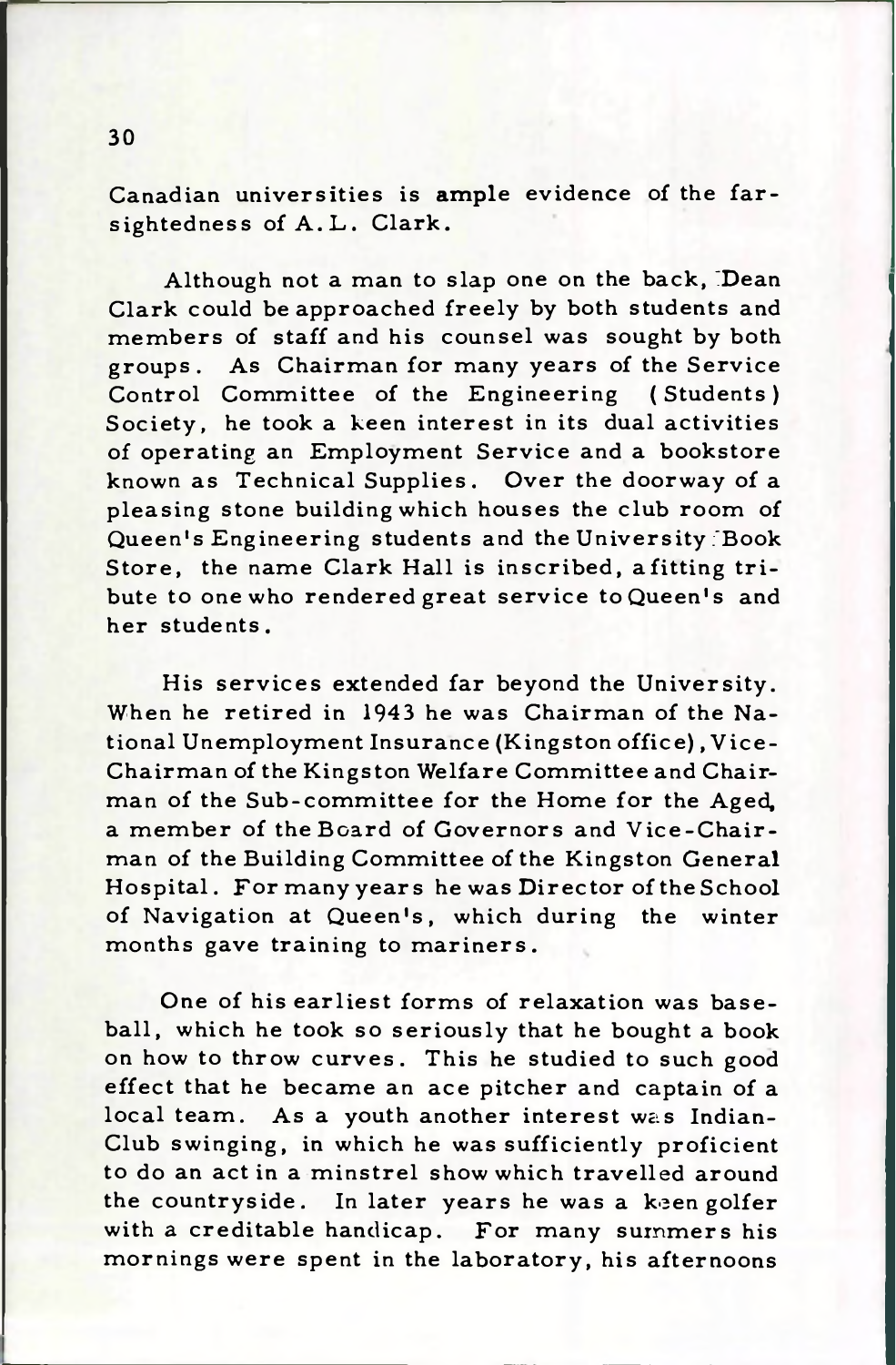Canadian universities is ample evidence of the farsightedness of A.L. Clark.

Although not a man to slap one on the back, Dean Clark could be approached freely by both students and members of staff and his counsel was sought by both groups. As Chairman for many years of the Service Control Committee of the Engineering (Students) Society, he took a keen interest in its dual activities of operating an Employment Service and a bookstore known as Technical Supplies. Over the doorway of a pleasing stone building which houses the club room of Queen's Engineering students and the University Book Store, the name Clark Hall is inscribed, afitting tribute to one who rendered great service to Queen's and her students.

His services extended far beyond the University. When he retired in 1943 he was Chairman of the National Unemployment Insurance (Kingston office), Vice-Chairman of the Kingston Welfare Committee and Chairman of the Sub-committee for the Home for the Aged, a member of the Board of Governors and Vice-Chairman of the Building Committee of the Kingston General Hospital. For many years he was Director of the School of Navigation at Queen's, which during the winter months gave training to mariners.

One of his earliest forms of relaxation was baseball, which he took so seriously that he bought a book on how to throw curves. This he studied to such good effect that he became an ace pitcher and captain of a local team. As a youth another interest was Indian-Club swinging, in which he was sufficiently proficient to do an act in a minstrel show which travelled around the countryside. In later years he was a keen golfer with a creditable handicap. For many summers his mornings were spent in the laboratory, his afternoons